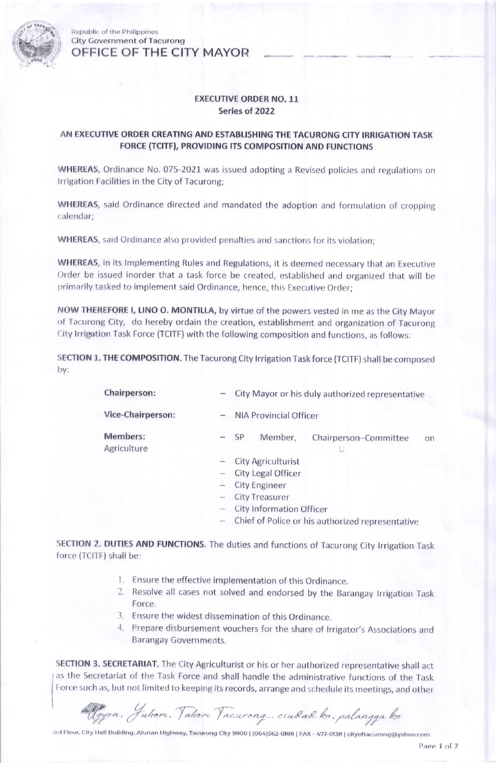

Republic of the Philippines City Government of Tacurong OFFICE OF THE CITY MAYOR

## EXECUTIVE ORDER NO. 11 Series of 2022

## AN EXECUTIVE ORDER CREATING AND ESTABLISHING THE TACURONG CITY IRRIGATION TASK FORCE (TCITF), PROVIDING ITS COMPOSITION AND FUNCTIONS

WHEREAS, Ordinance No. 075-2021 was issued adopting a Revised policies and regulations on Irrigation Facilities in the City of Tacurong;

WHEREAS, said Ordinance directed and mandated the adoption and formulation of cropping calendar;

WHEREAS, said Ordinance also provided penalties and sanctions for its violation;

WHEREAS, in its lmplementing Rules and Regulations, it is deemed necessary that an Executive Order be issued inorder that a task force be created, established and organized that will be primarily tasked to implement said Ordinance, hence, this Executive Order;

NOW THEREFORE I, LINO O. MONTILLA, by virtue of the powers vested in me as the City Mayor of Tacurong City, do hereby ordain the creation, establishment and organization of Tacurong City lrrigetion Task Force (TCITF) with the following composition and functions, as follows:

SECTION 1. THE COMPOSITION. The Tacurong City lrrigation Task force (TCITF) shall be composed Dy:

| Chairperson:            | City Mayor or his duly authorized representative<br>sense. |
|-------------------------|------------------------------------------------------------|
| Vice-Chairperson:       | <b>NIA Provincial Officer</b><br>-                         |
| Members:<br>Agriculture | Member,<br>$-$ SP<br>Chairperson-Committee<br>on           |
|                         | <b>City Agriculturist</b><br>$\overline{\phantom{a}}$      |
|                         | City Legal Officer                                         |
|                         | <b>City Engineer</b><br>$\overline{a}$                     |
|                         | <b>City Treasurer</b>                                      |

- City Information Officer
- Chief of Police or his authorized representative

SECTION 2. DUTIES AND FUNCTIONS. The duties and functions of Tacurong City lrrigation Task force (TCITF) shall be:

- l. Ensure the effective implementation of this Ordinance.
- 2. Resolve all cases not solved and endorsed by the Barangay Irrigation Task Force.
- .1. Ensure the widest dissemination of this Ordinance,
- 4. Prepare disbursement vouchers for the share of Irrigator's Associations and **Barangay Governments.**

SECTION 3. SECRETARIAT. The City Agriculturist or his or her authorized representative shall act as the Secretariat of the Task Force and shall handle the administrative functions of the Task Force such as, but not limited to keeping its records, arrange and schedule its meetings, and other

Algyon. Juhom. Tahom Tacurong... ciudad ko., palangga ko

3rd Floor, City Hall Building, Alunan Highway, Tacurong City 9800 | (064)562-0188 | FAX - 477-0138 | cityoftacurong@yahoo.com